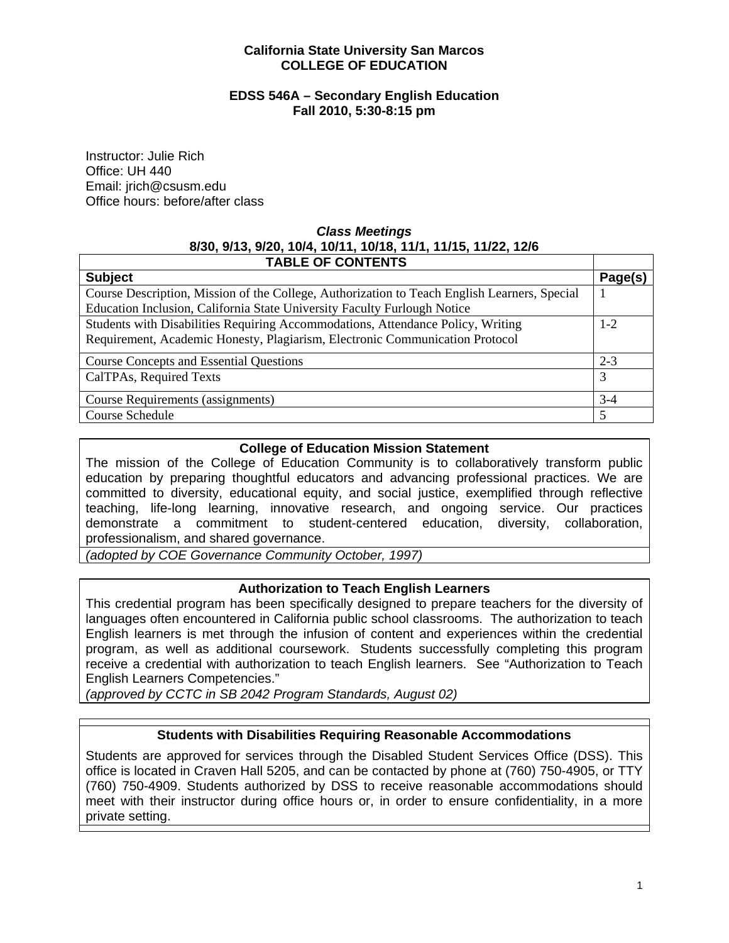#### **California State University San Marcos COLLEGE OF EDUCATION**

#### **EDSS 546A – Secondary English Education Fall 2010, 5:30-8:15 pm**

Instructor: Julie Rich Office: UH 440 Email: jrich@csusm.edu Office hours: before/after class

# *Class Meetings*  **8/30, 9/13, 9/20, 10/4, 10/11, 10/18, 11/1, 11/15, 11/22, 12/6**

| <b>TABLE OF CONTENTS</b>                                                                     |         |
|----------------------------------------------------------------------------------------------|---------|
| <b>Subject</b>                                                                               | Page(s) |
| Course Description, Mission of the College, Authorization to Teach English Learners, Special |         |
| Education Inclusion, California State University Faculty Furlough Notice                     |         |
| Students with Disabilities Requiring Accommodations, Attendance Policy, Writing              | $1 - 2$ |
| Requirement, Academic Honesty, Plagiarism, Electronic Communication Protocol                 |         |
| <b>Course Concepts and Essential Questions</b>                                               | $2 - 3$ |
| CalTPAs, Required Texts                                                                      | 3       |
| Course Requirements (assignments)                                                            | $3-4$   |
| Course Schedule                                                                              | 5       |

## **College of Education Mission Statement**

The mission of the College of Education Community is to collaboratively transform public education by preparing thoughtful educators and advancing professional practices. We are committed to diversity, educational equity, and social justice, exemplified through reflective teaching, life-long learning, innovative research, and ongoing service. Our practices demonstrate a commitment to student-centered education, diversity, collaboration, professionalism, and shared governance.

*(adopted by COE Governance Community October, 1997)* 

### **Authorization to Teach English Learners**

This credential program has been specifically designed to prepare teachers for the diversity of languages often encountered in California public school classrooms. The authorization to teach English learners is met through the infusion of content and experiences within the credential program, as well as additional coursework. Students successfully completing this program receive a credential with authorization to teach English learners. See "Authorization to Teach English Learners Competencies."

*(approved by CCTC in SB 2042 Program Standards, August 02)* 

# **Students with Disabilities Requiring Reasonable Accommodations**

Students are approved for services through the Disabled Student Services Office (DSS). This office is located in Craven Hall 5205, and can be contacted by phone at (760) 750-4905, or TTY (760) 750-4909. Students authorized by DSS to receive reasonable accommodations should meet with their instructor during office hours or, in order to ensure confidentiality, in a more private setting.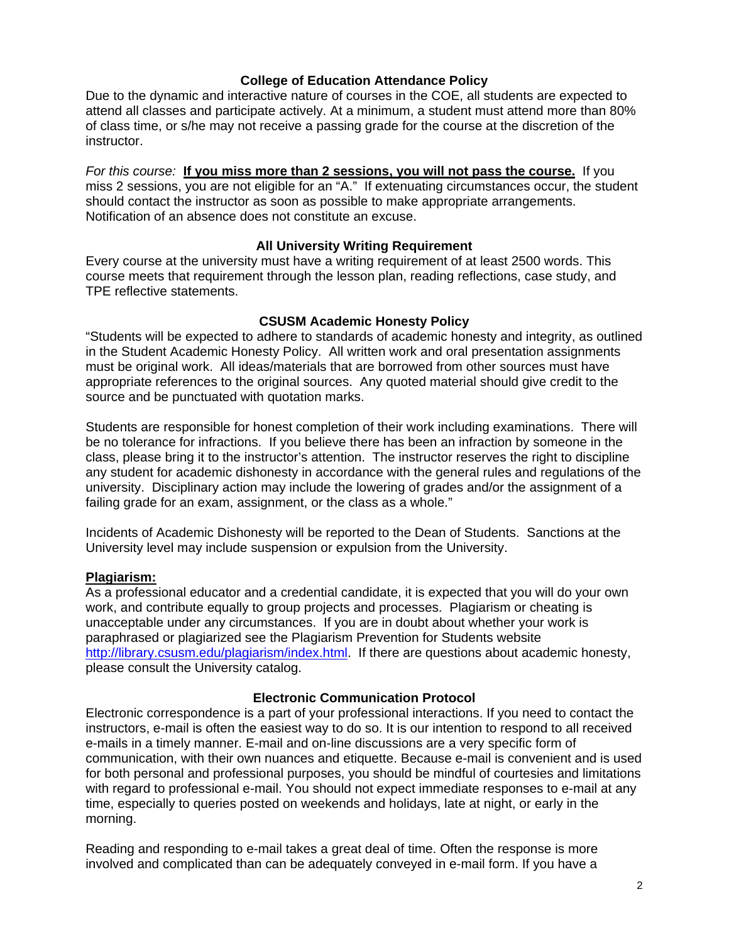#### **College of Education Attendance Policy**

Due to the dynamic and interactive nature of courses in the COE, all students are expected to attend all classes and participate actively. At a minimum, a student must attend more than 80% of class time, or s/he may not receive a passing grade for the course at the discretion of the instructor.

*For this course:* **If you miss more than 2 sessions, you will not pass the course.** If you miss 2 sessions, you are not eligible for an "A." If extenuating circumstances occur, the student should contact the instructor as soon as possible to make appropriate arrangements. Notification of an absence does not constitute an excuse.

### **All University Writing Requirement**

Every course at the university must have a writing requirement of at least 2500 words. This course meets that requirement through the lesson plan, reading reflections, case study, and TPE reflective statements.

#### **CSUSM Academic Honesty Policy**

"Students will be expected to adhere to standards of academic honesty and integrity, as outlined in the Student Academic Honesty Policy. All written work and oral presentation assignments must be original work. All ideas/materials that are borrowed from other sources must have appropriate references to the original sources. Any quoted material should give credit to the source and be punctuated with quotation marks.

Students are responsible for honest completion of their work including examinations. There will be no tolerance for infractions. If you believe there has been an infraction by someone in the class, please bring it to the instructor's attention. The instructor reserves the right to discipline any student for academic dishonesty in accordance with the general rules and regulations of the university. Disciplinary action may include the lowering of grades and/or the assignment of a failing grade for an exam, assignment, or the class as a whole."

Incidents of Academic Dishonesty will be reported to the Dean of Students. Sanctions at the University level may include suspension or expulsion from the University.

### **Plagiarism:**

As a professional educator and a credential candidate, it is expected that you will do your own work, and contribute equally to group projects and processes. Plagiarism or cheating is unacceptable under any circumstances. If you are in doubt about whether your work is paraphrased or plagiarized see the Plagiarism Prevention for Students website http://library.csusm.edu/plagiarism/index.html. If there are questions about academic honesty, please consult the University catalog.

#### **Electronic Communication Protocol**

Electronic correspondence is a part of your professional interactions. If you need to contact the instructors, e-mail is often the easiest way to do so. It is our intention to respond to all received e-mails in a timely manner. E-mail and on-line discussions are a very specific form of communication, with their own nuances and etiquette. Because e-mail is convenient and is used for both personal and professional purposes, you should be mindful of courtesies and limitations with regard to professional e-mail. You should not expect immediate responses to e-mail at any time, especially to queries posted on weekends and holidays, late at night, or early in the morning.

Reading and responding to e-mail takes a great deal of time. Often the response is more involved and complicated than can be adequately conveyed in e-mail form. If you have a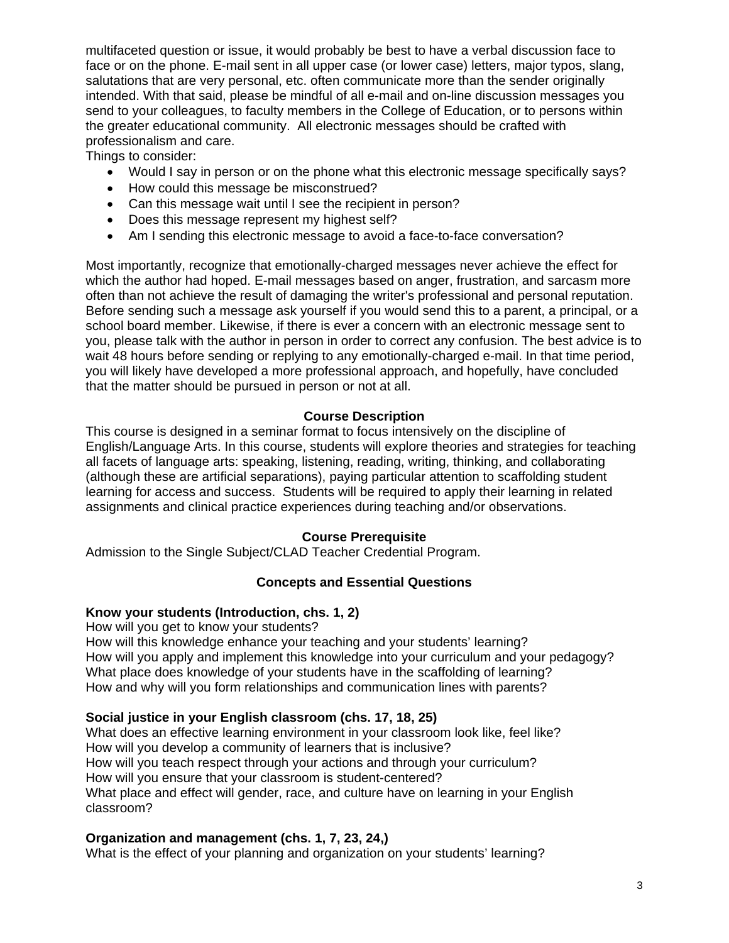multifaceted question or issue, it would probably be best to have a verbal discussion face to face or on the phone. E-mail sent in all upper case (or lower case) letters, major typos, slang, salutations that are very personal, etc. often communicate more than the sender originally intended. With that said, please be mindful of all e-mail and on-line discussion messages you send to your colleagues, to faculty members in the College of Education, or to persons within the greater educational community. All electronic messages should be crafted with professionalism and care.

Things to consider:

- Would I say in person or on the phone what this electronic message specifically says?
- How could this message be misconstrued?
- Can this message wait until I see the recipient in person?
- Does this message represent my highest self?
- Am I sending this electronic message to avoid a face-to-face conversation?

Most importantly, recognize that emotionally-charged messages never achieve the effect for which the author had hoped. E-mail messages based on anger, frustration, and sarcasm more often than not achieve the result of damaging the writer's professional and personal reputation. Before sending such a message ask yourself if you would send this to a parent, a principal, or a school board member. Likewise, if there is ever a concern with an electronic message sent to you, please talk with the author in person in order to correct any confusion. The best advice is to wait 48 hours before sending or replying to any emotionally-charged e-mail. In that time period, you will likely have developed a more professional approach, and hopefully, have concluded that the matter should be pursued in person or not at all.

### **Course Description**

This course is designed in a seminar format to focus intensively on the discipline of English/Language Arts. In this course, students will explore theories and strategies for teaching all facets of language arts: speaking, listening, reading, writing, thinking, and collaborating (although these are artificial separations), paying particular attention to scaffolding student learning for access and success. Students will be required to apply their learning in related assignments and clinical practice experiences during teaching and/or observations.

### **Course Prerequisite**

Admission to the Single Subject/CLAD Teacher Credential Program.

### **Concepts and Essential Questions**

## **Know your students (Introduction, chs. 1, 2)**

How will you get to know your students?

How will this knowledge enhance your teaching and your students' learning? How will you apply and implement this knowledge into your curriculum and your pedagogy? What place does knowledge of your students have in the scaffolding of learning? How and why will you form relationships and communication lines with parents?

### **Social justice in your English classroom (chs. 17, 18, 25)**

What does an effective learning environment in your classroom look like, feel like? How will you develop a community of learners that is inclusive? How will you teach respect through your actions and through your curriculum? How will you ensure that your classroom is student-centered? What place and effect will gender, race, and culture have on learning in your English classroom?

### **Organization and management (chs. 1, 7, 23, 24,)**

What is the effect of your planning and organization on your students' learning?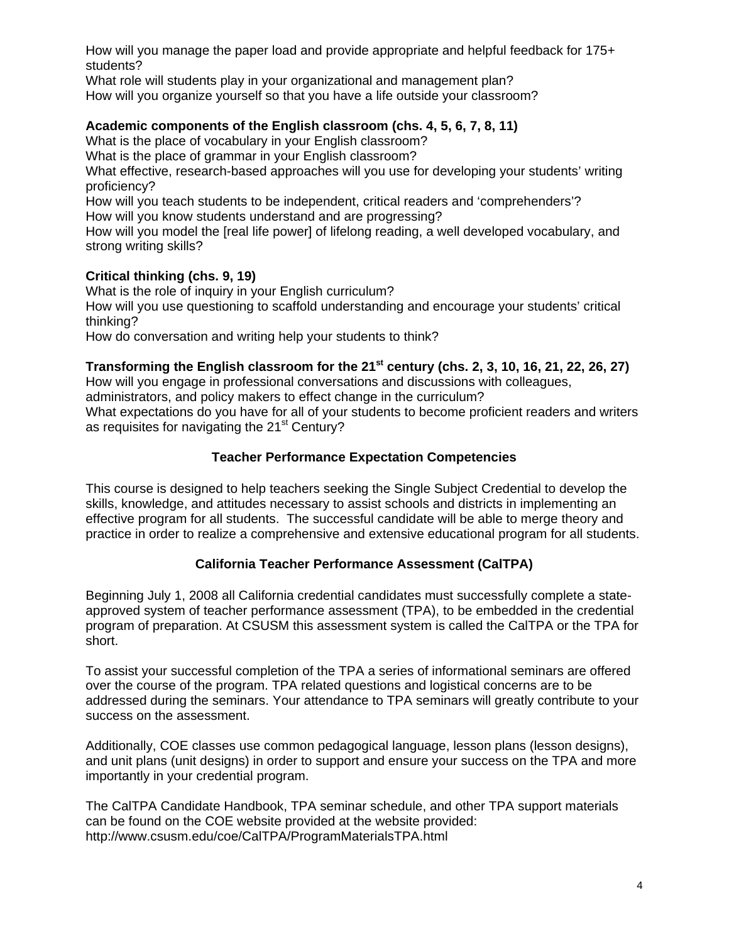How will you manage the paper load and provide appropriate and helpful feedback for 175+ students?

What role will students play in your organizational and management plan? How will you organize yourself so that you have a life outside your classroom?

## **Academic components of the English classroom (chs. 4, 5, 6, 7, 8, 11)**

What is the place of vocabulary in your English classroom?

What is the place of grammar in your English classroom?

 proficiency? What effective, research-based approaches will you use for developing your students' writing

How will you teach students to be independent, critical readers and 'comprehenders'? How will you know students understand and are progressing?

How will you model the [real life power] of lifelong reading, a well developed vocabulary, and strong writing skills?

### **Critical thinking (chs. 9, 19)**

What is the role of inquiry in your English curriculum?

How will you use questioning to scaffold understanding and encourage your students' critical thinking?

How do conversation and writing help your students to think?

## Transforming the English classroom for the 21<sup>st</sup> century (chs. 2, 3, 10, 16, 21, 22, 26, 27)

How will you engage in professional conversations and discussions with colleagues,

administrators, and policy makers to effect change in the curriculum?

What expectations do you have for all of your students to become proficient readers and writers as requisites for navigating the 21<sup>st</sup> Century?

### **Teacher Performance Expectation Competencies**

This course is designed to help teachers seeking the Single Subject Credential to develop the skills, knowledge, and attitudes necessary to assist schools and districts in implementing an effective program for all students. The successful candidate will be able to merge theory and practice in order to realize a comprehensive and extensive educational program for all students.

# **California Teacher Performance Assessment (CalTPA)**

Beginning July 1, 2008 all California credential candidates must successfully complete a stateapproved system of teacher performance assessment (TPA), to be embedded in the credential program of preparation. At CSUSM this assessment system is called the CalTPA or the TPA for short.

To assist your successful completion of the TPA a series of informational seminars are offered over the course of the program. TPA related questions and logistical concerns are to be addressed during the seminars. Your attendance to TPA seminars will greatly contribute to your success on the assessment.

Additionally, COE classes use common pedagogical language, lesson plans (lesson designs), and unit plans (unit designs) in order to support and ensure your success on the TPA and more importantly in your credential program.

The CalTPA Candidate Handbook, TPA seminar schedule, and other TPA support materials can be found on the COE website provided at the website provided: http://www.csusm.edu/coe/CalTPA/ProgramMaterialsTPA.html